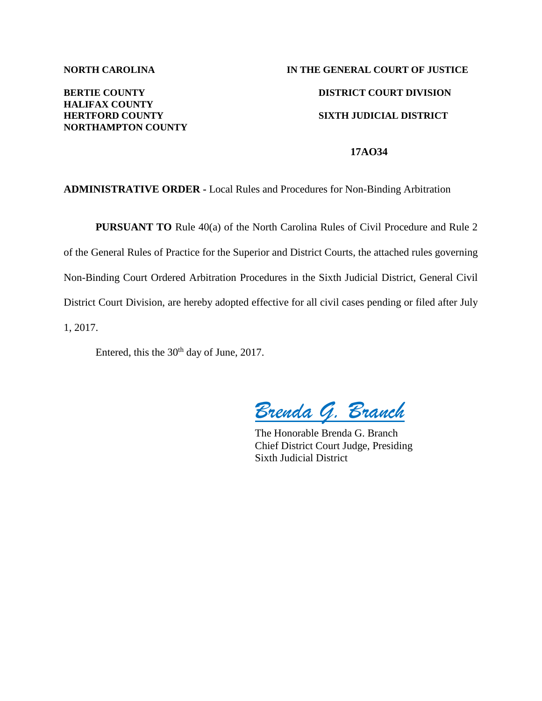## **HALIFAX COUNTY NORTHAMPTON COUNTY**

# **NORTH CAROLINA IN THE GENERAL COURT OF JUSTICE BERTIE COUNTY DISTRICT COURT DIVISION HERTFORD COUNTY SIXTH JUDICIAL DISTRICT**

#### **17AO34**

#### **ADMINISTRATIVE ORDER -** Local Rules and Procedures for Non-Binding Arbitration

**PURSUANT TO** Rule 40(a) of the North Carolina Rules of Civil Procedure and Rule 2 of the General Rules of Practice for the Superior and District Courts, the attached rules governing Non-Binding Court Ordered Arbitration Procedures in the Sixth Judicial District, General Civil District Court Division, are hereby adopted effective for all civil cases pending or filed after July 1, 2017.

Entered, this the 30<sup>th</sup> day of June, 2017.

*Brenda G. Branch*

The Honorable Brenda G. Branch Chief District Court Judge, Presiding Sixth Judicial District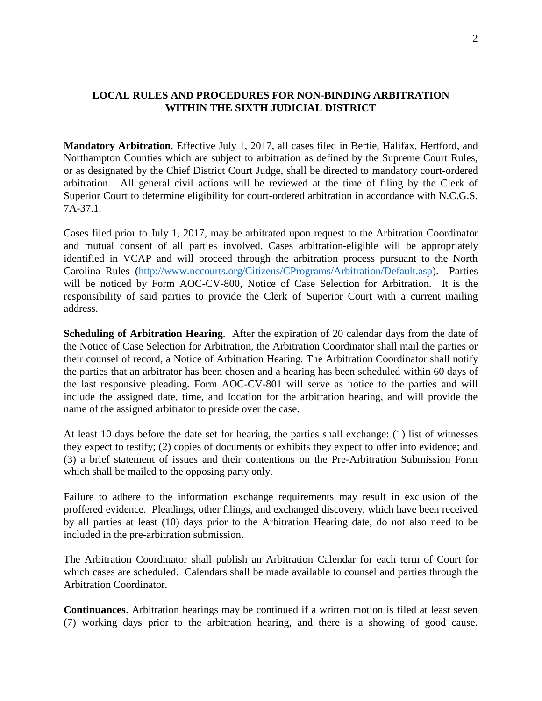### **LOCAL RULES AND PROCEDURES FOR NON-BINDING ARBITRATION WITHIN THE SIXTH JUDICIAL DISTRICT**

**Mandatory Arbitration**. Effective July 1, 2017, all cases filed in Bertie, Halifax, Hertford, and Northampton Counties which are subject to arbitration as defined by the Supreme Court Rules, or as designated by the Chief District Court Judge, shall be directed to mandatory court-ordered arbitration. All general civil actions will be reviewed at the time of filing by the Clerk of Superior Court to determine eligibility for court-ordered arbitration in accordance with N.C.G.S. 7A-37.1.

Cases filed prior to July 1, 2017, may be arbitrated upon request to the Arbitration Coordinator and mutual consent of all parties involved. Cases arbitration-eligible will be appropriately identified in VCAP and will proceed through the arbitration process pursuant to the North Carolina Rules [\(http://www.nccourts.org/Citizens/CPrograms/Arbitration/Default.asp\)](http://www.nccourts.org/Citizens/CPrograms/Arbitration/Default.asp). Parties will be noticed by Form AOC-CV-800, Notice of Case Selection for Arbitration. It is the responsibility of said parties to provide the Clerk of Superior Court with a current mailing address.

**Scheduling of Arbitration Hearing**. After the expiration of 20 calendar days from the date of the Notice of Case Selection for Arbitration, the Arbitration Coordinator shall mail the parties or their counsel of record, a Notice of Arbitration Hearing. The Arbitration Coordinator shall notify the parties that an arbitrator has been chosen and a hearing has been scheduled within 60 days of the last responsive pleading. Form AOC-CV-801 will serve as notice to the parties and will include the assigned date, time, and location for the arbitration hearing, and will provide the name of the assigned arbitrator to preside over the case.

At least 10 days before the date set for hearing, the parties shall exchange: (1) list of witnesses they expect to testify; (2) copies of documents or exhibits they expect to offer into evidence; and (3) a brief statement of issues and their contentions on the Pre-Arbitration Submission Form which shall be mailed to the opposing party only.

Failure to adhere to the information exchange requirements may result in exclusion of the proffered evidence. Pleadings, other filings, and exchanged discovery, which have been received by all parties at least (10) days prior to the Arbitration Hearing date, do not also need to be included in the pre-arbitration submission.

The Arbitration Coordinator shall publish an Arbitration Calendar for each term of Court for which cases are scheduled. Calendars shall be made available to counsel and parties through the Arbitration Coordinator.

**Continuances**. Arbitration hearings may be continued if a written motion is filed at least seven (7) working days prior to the arbitration hearing, and there is a showing of good cause.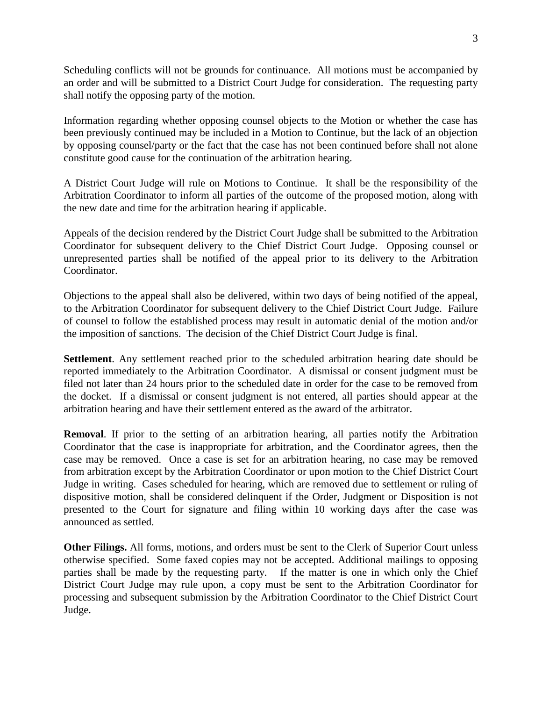Scheduling conflicts will not be grounds for continuance. All motions must be accompanied by an order and will be submitted to a District Court Judge for consideration. The requesting party shall notify the opposing party of the motion.

Information regarding whether opposing counsel objects to the Motion or whether the case has been previously continued may be included in a Motion to Continue, but the lack of an objection by opposing counsel/party or the fact that the case has not been continued before shall not alone constitute good cause for the continuation of the arbitration hearing.

A District Court Judge will rule on Motions to Continue. It shall be the responsibility of the Arbitration Coordinator to inform all parties of the outcome of the proposed motion, along with the new date and time for the arbitration hearing if applicable.

Appeals of the decision rendered by the District Court Judge shall be submitted to the Arbitration Coordinator for subsequent delivery to the Chief District Court Judge. Opposing counsel or unrepresented parties shall be notified of the appeal prior to its delivery to the Arbitration Coordinator.

Objections to the appeal shall also be delivered, within two days of being notified of the appeal, to the Arbitration Coordinator for subsequent delivery to the Chief District Court Judge. Failure of counsel to follow the established process may result in automatic denial of the motion and/or the imposition of sanctions. The decision of the Chief District Court Judge is final.

**Settlement**. Any settlement reached prior to the scheduled arbitration hearing date should be reported immediately to the Arbitration Coordinator. A dismissal or consent judgment must be filed not later than 24 hours prior to the scheduled date in order for the case to be removed from the docket. If a dismissal or consent judgment is not entered, all parties should appear at the arbitration hearing and have their settlement entered as the award of the arbitrator.

**Removal**. If prior to the setting of an arbitration hearing, all parties notify the Arbitration Coordinator that the case is inappropriate for arbitration, and the Coordinator agrees, then the case may be removed. Once a case is set for an arbitration hearing, no case may be removed from arbitration except by the Arbitration Coordinator or upon motion to the Chief District Court Judge in writing. Cases scheduled for hearing, which are removed due to settlement or ruling of dispositive motion, shall be considered delinquent if the Order, Judgment or Disposition is not presented to the Court for signature and filing within 10 working days after the case was announced as settled.

**Other Filings.** All forms, motions, and orders must be sent to the Clerk of Superior Court unless otherwise specified. Some faxed copies may not be accepted. Additional mailings to opposing parties shall be made by the requesting party. If the matter is one in which only the Chief District Court Judge may rule upon, a copy must be sent to the Arbitration Coordinator for processing and subsequent submission by the Arbitration Coordinator to the Chief District Court Judge.